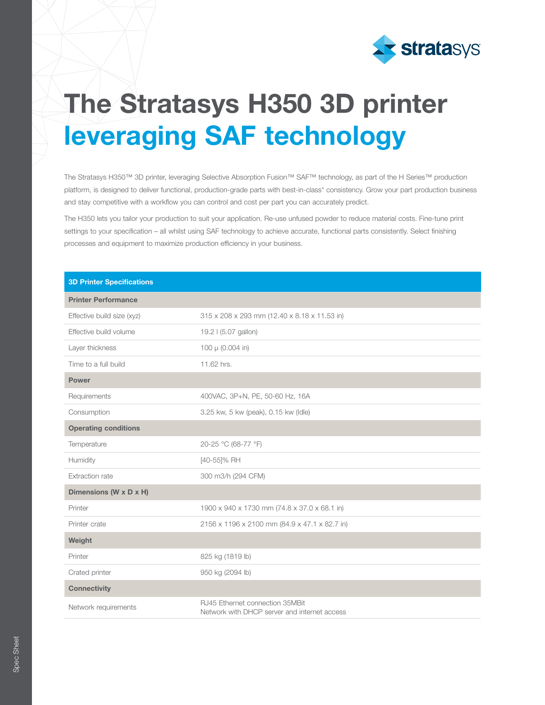

# The Stratasys H350 3D printer leveraging SAF technology

The Stratasys H350™ 3D printer, leveraging Selective Absorption Fusion™ SAF™ technology, as part of the H Series™ production platform, is designed to deliver functional, production-grade parts with best-in-class\* consistency. Grow your part production business and stay competitive with a workflow you can control and cost per part you can accurately predict.

The H350 lets you tailor your production to suit your application. Re-use unfused powder to reduce material costs. Fine-tune print settings to your specification – all whilst using SAF technology to achieve accurate, functional parts consistently. Select finishing processes and equipment to maximize production efficiency in your business.

| <b>3D Printer Specifications</b> |                                                                                 |  |  |  |
|----------------------------------|---------------------------------------------------------------------------------|--|--|--|
| <b>Printer Performance</b>       |                                                                                 |  |  |  |
| Effective build size (xyz)       | 315 x 208 x 293 mm (12.40 x 8.18 x 11.53 in)                                    |  |  |  |
| Effective build volume           | 19.2 I (5.07 gallon)                                                            |  |  |  |
| Layer thickness                  | 100 µ (0.004 in)                                                                |  |  |  |
| Time to a full build             | 11.62 hrs.                                                                      |  |  |  |
| <b>Power</b>                     |                                                                                 |  |  |  |
| Requirements                     | 400VAC, 3P+N, PE, 50-60 Hz, 16A                                                 |  |  |  |
| Consumption                      | 3.25 kw, 5 kw (peak), 0.15 kw (Idle)                                            |  |  |  |
| <b>Operating conditions</b>      |                                                                                 |  |  |  |
| Temperature                      | 20-25 °C (68-77 °F)                                                             |  |  |  |
| Humidity                         | [40-55]% RH                                                                     |  |  |  |
| Extraction rate                  | 300 m3/h (294 CFM)                                                              |  |  |  |
| Dimensions (W x D x H)           |                                                                                 |  |  |  |
| Printer                          | 1900 x 940 x 1730 mm (74.8 x 37.0 x 68.1 in)                                    |  |  |  |
| Printer crate                    | 2156 x 1196 x 2100 mm (84.9 x 47.1 x 82.7 in)                                   |  |  |  |
| Weight                           |                                                                                 |  |  |  |
| Printer                          | 825 kg (1819 lb)                                                                |  |  |  |
| Crated printer                   | 950 kg (2094 lb)                                                                |  |  |  |
| <b>Connectivity</b>              |                                                                                 |  |  |  |
| Network requirements             | RJ45 Ethernet connection 35MBit<br>Network with DHCP server and internet access |  |  |  |